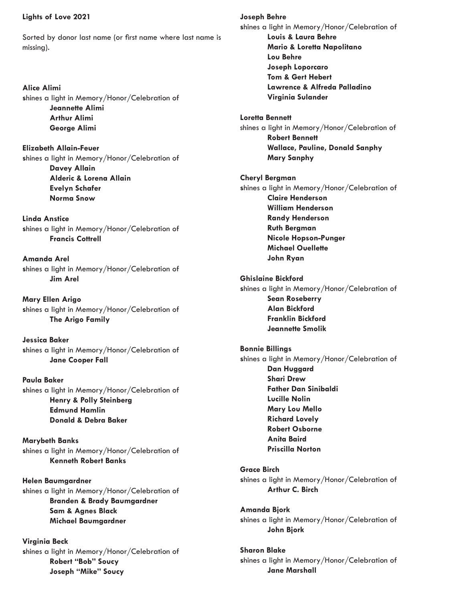## **Lights of Love 2021**

Sorted by donor last name (or first name where last name is missing).

**Alice Alimi s**hines a light in Memory/Honor/Celebration of **Jeannette Alimi Arthur Alimi George Alimi**

**Elizabeth Allain-Feuer s**hines a light in Memory/Honor/Celebration of **Davey Allain Alderic & Lorena Allain Evelyn Schafer Norma Snow**

**Linda Anstice s**hines a light in Memory/Honor/Celebration of **Francis Cottrell**

**Amanda Arel s**hines a light in Memory/Honor/Celebration of **Jim Arel**

**Mary Ellen Arigo s**hines a light in Memory/Honor/Celebration of **The Arigo Family**

**Jessica Baker s**hines a light in Memory/Honor/Celebration of **Jane Cooper Fall**

**Paula Baker s**hines a light in Memory/Honor/Celebration of **Henry & Polly Steinberg Edmund Hamlin Donald & Debra Baker**

**Marybeth Banks s**hines a light in Memory/Honor/Celebration of **Kenneth Robert Banks**

**Helen Baumgardner s**hines a light in Memory/Honor/Celebration of **Branden & Brady Baumgardner Sam & Agnes Black Michael Baumgardner**

**Virginia Beck s**hines a light in Memory/Honor/Celebration of **Robert "Bob" Soucy Joseph "Mike" Soucy**

**Joseph Behre s**hines a light in Memory/Honor/Celebration of **Louis & Laura Behre Mario & Loretta Napolitano Lou Behre Joseph Loporcaro Tom & Gert Hebert Lawrence & Alfreda Palladino Virginia Sulander Loretta Bennett** shines a light in Memory/Honor/Celebration of **Robert Bennett Wallace, Pauline, Donald Sanphy Mary Sanphy Cheryl Bergman s**hines a light in Memory/Honor/Celebration of **Claire Henderson William Henderson Randy Henderson Ruth Bergman Nicole Hopson-Punger Michael Ouellette John Ryan Ghislaine Bickford s**hines a light in Memory/Honor/Celebration of **Sean Roseberry Alan Bickford Franklin Bickford Jeannette Smolik Bonnie Billings s**hines a light in Memory/Honor/Celebration of **Dan Huggard Shari Drew Father Dan Sinibaldi Lucille Nolin Mary Lou Mello Richard Lovely Robert Osborne Anita Baird Priscilla Norton Grace Birch s**hines a light in Memory/Honor/Celebration of **Arthur C. Birch Amanda Bjork s**hines a light in Memory/Honor/Celebration of **John Bjork Sharon Blake s**hines a light in Memory/Honor/Celebration of **Jane Marshall**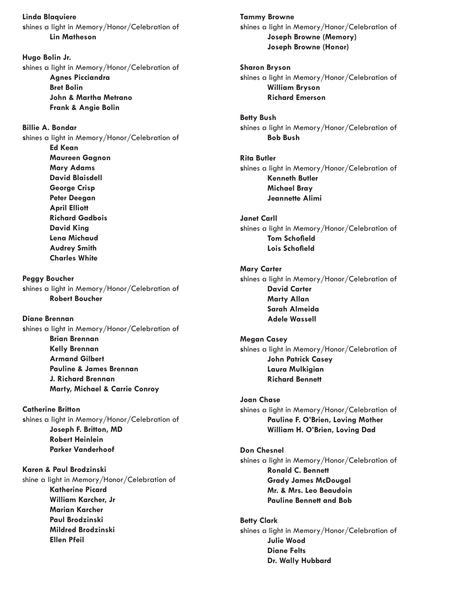**Linda Blaquiere s**hines a light in Memory/Honor/Celebration of **Lin Matheson**

**Hugo Bolin Jr. s**hines a light in Memory/Honor/Celebration of **Agnes Picciandra Bret Bolin John & Martha Metrano Frank & Angie Bolin**

**Billie A. Bondar s**hines a light in Memory/Honor/Celebration of **Ed Kean Maureen Gagnon Mary Adams David Blaisdell George Crisp Peter Deegan April Elliott**

**Richard Gadbois David King Lena Michaud Audrey Smith Charles White**

**Peggy Boucher s**hines a light in Memory/Honor/Celebration of **Robert Boucher**

**Diane Brennan s**hines a light in Memory/Honor/Celebration of **Brian Brennan Kelly Brennan Armand Gilbert Pauline & James Brennan J. Richard Brennan Marty, Michael & Carrie Conroy**

**Catherine Britton s**hines a light in Memory/Honor/Celebration of **Joseph F. Britton, MD Robert Heinlein Parker Vanderhoof**

**Karen & Paul Brodzinski**  shine a light in Memory/Honor/Celebration of **Katherine Picard William Karcher, Jr Marian Karcher Paul Brodzinski Mildred Brodzinski Ellen Pfeil**

**Tammy Browne s**hines a light in Memory/Honor/Celebration of **Joseph Browne (Memory) Joseph Browne (Honor)**

**Sharon Bryson s**hines a light in Memory/Honor/Celebration of **William Bryson Richard Emerson**

**Betty Bush s**hines a light in Memory/Honor/Celebration of **Bob Bush**

**Rita Butler s**hines a light in Memory/Honor/Celebration of **Kenneth Butler Michael Bray Jeannette Alimi**

**Janet Carll s**hines a light in Memory/Honor/Celebration of **Tom Schofield Lois Schofield**

**Mary Carter s**hines a light in Memory/Honor/Celebration of **David Carter Marty Allan Sarah Almeida Adele Wassell**

**Megan Casey s**hines a light in Memory/Honor/Celebration of **John Patrick Casey Laura Mulkigian Richard Bennett**

**Joan Chase s**hines a light in Memory/Honor/Celebration of **Pauline F. O'Brien, Loving Mother William H. O'Brien, Loving Dad**

**Don Chesnel s**hines a light in Memory/Honor/Celebration of **Ronald C. Bennett Grady James McDougal Mr. & Mrs. Leo Beaudoin Pauline Bennett and Bob**

**Betty Clark s**hines a light in Memory/Honor/Celebration of **Julie Wood Diane Felts Dr. Wally Hubbard**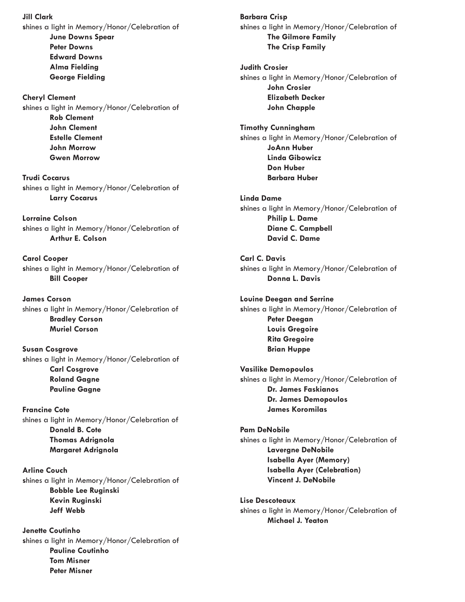**Jill Clark** 

**s**hines a light in Memory/Honor/Celebration of **June Downs Spear Peter Downs Edward Downs Alma Fielding George Fielding**

**Cheryl Clement s**hines a light in Memory/Honor/Celebration of **Rob Clement John Clement Estelle Clement John Morrow Gwen Morrow**

**Trudi Cocarus s**hines a light in Memory/Honor/Celebration of **Larry Cocarus**

**Lorraine Colson s**hines a light in Memory/Honor/Celebration of **Arthur E. Colson**

**Carol Cooper s**hines a light in Memory/Honor/Celebration of **Bill Cooper**

**James Corson** shines a light in Memory/Honor/Celebration of **Bradley Corson Muriel Corson** 

**Susan Cosgrove s**hines a light in Memory/Honor/Celebration of **Carl Cosgrove Roland Gagne Pauline Gagne**

**Francine Cote** shines a light in Memory/Honor/Celebration of **Donald B. Cote Thomas Adrignola Margaret Adrignola**

**Arline Couch s**hines a light in Memory/Honor/Celebration of **Bobble Lee Ruginski Kevin Ruginski Jeff Webb**

**Jenette Coutinho s**hines a light in Memory/Honor/Celebration of **Pauline Coutinho Tom Misner Peter Misner**

**Barbara Crisp s**hines a light in Memory/Honor/Celebration of **The Gilmore Family The Crisp Family**

**Judith Crosier s**hines a light in Memory/Honor/Celebration of **John Crosier Elizabeth Decker John Chapple**

**Timothy Cunningham s**hines a light in Memory/Honor/Celebration of **JoAnn Huber Linda Gibowicz Don Huber Barbara Huber**

**Linda Dame s**hines a light in Memory/Honor/Celebration of **Philip L. Dame Diane C. Campbell David C. Dame**

**Carl C. Davis s**hines a light in Memory/Honor/Celebration of **Donna L. Davis**

**Louine Deegan and Serrine s**hines a light in Memory/Honor/Celebration of **Peter Deegan Louis Gregoire Rita Gregoire Brian Huppe**

**Vasilike Demopoulos s**hines a light in Memory/Honor/Celebration of **Dr. James Faskianos Dr. James Demopoulos James Koromilas**

**Pam DeNobile s**hines a light in Memory/Honor/Celebration of **Lavergne DeNobile Isabella Ayer (Memory) Isabella Ayer (Celebration) Vincent J. DeNobile**

**Lise Descoteaux s**hines a light in Memory/Honor/Celebration of **Michael J. Yeaton**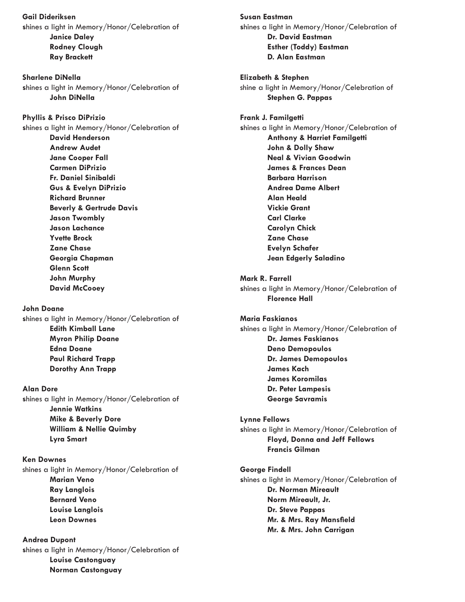**Gail Dideriksen s**hines a light in Memory/Honor/Celebration of **Janice Daley Rodney Clough Ray Brackett**

**Sharlene DiNella s**hines a light in Memory/Honor/Celebration of **John DiNella**

**Phyllis & Prisco DiPrizio s**hines a light in Memory/Honor/Celebration of **David Henderson Andrew Audet Jane Cooper Fall Carmen DiPrizio Fr. Daniel Sinibaldi Gus & Evelyn DiPrizio Richard Brunner Beverly & Gertrude Davis Jason Twombly Jason Lachance Yvette Brock Zane Chase Georgia Chapman Glenn Scott**

**John Doane** 

**John Murphy David McCooey**

**s**hines a light in Memory/Honor/Celebration of **Edith Kimball Lane Myron Philip Doane Edna Doane Paul Richard Trapp Dorothy Ann Trapp**

## **Alan Dore**

**s**hines a light in Memory/Honor/Celebration of **Jennie Watkins Mike & Beverly Dore William & Nellie Quimby Lyra Smart**

**Ken Downes** shines a light in Memory/Honor/Celebration of **Marian Veno Ray Langlois Bernard Veno Louise Langlois Leon Downes**

**Andrea Dupont s**hines a light in Memory/Honor/Celebration of **Louise Castonguay Norman Castonguay**

**Susan Eastman s**hines a light in Memory/Honor/Celebration of **Dr. David Eastman Esther (Toddy) Eastman D. Alan Eastman**

**Elizabeth & Stephen** shine a light in Memory/Honor/Celebration of **Stephen G. Pappas** 

**Frank J. Familgetti s**hines a light in Memory/Honor/Celebration of **Anthony & Harriet Familgetti John & Dolly Shaw Neal & Vivian Goodwin James & Frances Dean Barbara Harrison Andrea Dame Albert Alan Heald Vickie Grant Carl Clarke Carolyn Chick Zane Chase Evelyn Schafer Jean Edgerly Saladino**

**Mark R. Farrell s**hines a light in Memory/Honor/Celebration of **Florence Hall**

**Maria Faskianos s**hines a light in Memory/Honor/Celebration of **Dr. James Faskianos Deno Demopoulos Dr. James Demopoulos James Kach James Koromilas Dr. Peter Lampesis George Savramis**

**Lynne Fellows s**hines a light in Memory/Honor/Celebration of **Floyd, Donna and Jeff Fellows Francis Gilman**

**George Findell s**hines a light in Memory/Honor/Celebration of **Dr. Norman Mireault Norm Mireault, Jr. Dr. Steve Pappas Mr. & Mrs. Ray Mansfield Mr. & Mrs. John Carrigan**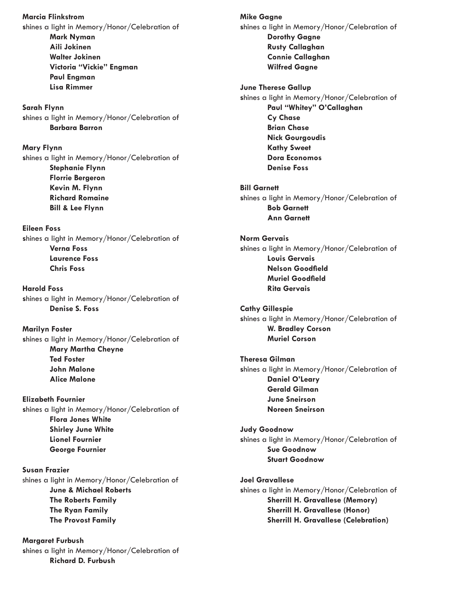**Marcia Flinkstrom s**hines a light in Memory/Honor/Celebration of **Mark Nyman Aili Jokinen Walter Jokinen Victoria "Vickie" Engman Paul Engman Lisa Rimmer**

**Sarah Flynn s**hines a light in Memory/Honor/Celebration of **Barbara Barron**

**Mary Flynn s**hines a light in Memory/Honor/Celebration of **Stephanie Flynn Florrie Bergeron Kevin M. Flynn Richard Romaine Bill & Lee Flynn**

**Eileen Foss s**hines a light in Memory/Honor/Celebration of **Verna Foss Laurence Foss Chris Foss**

**Harold Foss s**hines a light in Memory/Honor/Celebration of **Denise S. Foss**

**Marilyn Foster s**hines a light in Memory/Honor/Celebration of **Mary Martha Cheyne Ted Foster John Malone Alice Malone**

**Elizabeth Fournier s**hines a light in Memory/Honor/Celebration of **Flora Jones White Shirley June White Lionel Fournier George Fournier**

**Susan Frazier** shines a light in Memory/Honor/Celebration of **June & Michael Roberts The Roberts Family The Ryan Family The Provost Family** 

**Margaret Furbush s**hines a light in Memory/Honor/Celebration of **Richard D. Furbush**

**Mike Gagne s**hines a light in Memory/Honor/Celebration of **Dorothy Gagne Rusty Callaghan Connie Callaghan Wilfred Gagne June Therese Gallup s**hines a light in Memory/Honor/Celebration of **Paul "Whitey" O'Callaghan Cy Chase Brian Chase Nick Gourgoudis Kathy Sweet Dora Economos Denise Foss Bill Garnett s**hines a light in Memory/Honor/Celebration of **Bob Garnett Ann Garnett Norm Gervais s**hines a light in Memory/Honor/Celebration of **Louis Gervais Nelson Goodfield Muriel Goodfield Rita Gervais Cathy Gillespie s**hines a light in Memory/Honor/Celebration of **W. Bradley Corson Muriel Corson Theresa Gilman s**hines a light in Memory/Honor/Celebration of **Daniel O'Leary Gerald Gilman June Sneirson Noreen Sneirson Judy Goodnow s**hines a light in Memory/Honor/Celebration of **Sue Goodnow Stuart Goodnow Joel Gravallese s**hines a light in Memory/Honor/Celebration of **Sherrill H. Gravallese (Memory) Sherrill H. Gravallese (Honor) Sherrill H. Gravallese (Celebration)**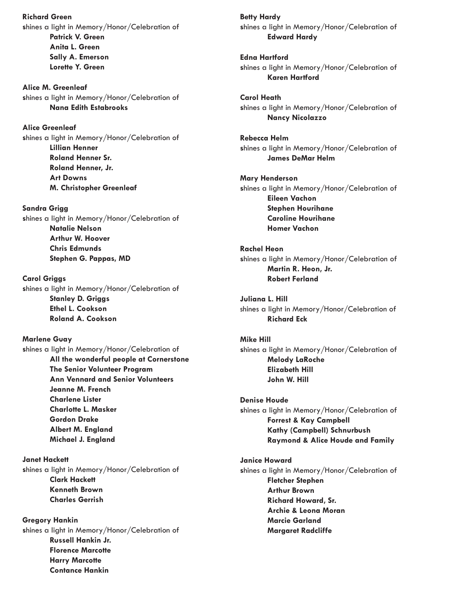**Richard Green s**hines a light in Memory/Honor/Celebration of **Patrick V. Green Anita L. Green Sally A. Emerson Lorette Y. Green**

**Alice M. Greenleaf s**hines a light in Memory/Honor/Celebration of **Nana Edith Estabrooks**

**Alice Greenleaf s**hines a light in Memory/Honor/Celebration of **Lillian Henner Roland Henner Sr. Roland Henner, Jr. Art Downs M. Christopher Greenleaf**

**Sandra Grigg s**hines a light in Memory/Honor/Celebration of **Natalie Nelson Arthur W. Hoover Chris Edmunds Stephen G. Pappas, MD**

**Carol Griggs s**hines a light in Memory/Honor/Celebration of **Stanley D. Griggs Ethel L. Cookson Roland A. Cookson**

**Marlene Guay s**hines a light in Memory/Honor/Celebration of **All the wonderful people at Cornerstone The Senior Volunteer Program Ann Vennard and Senior Volunteers Jeanne M. French Charlene Lister Charlotte L. Masker Gordon Drake Albert M. England Michael J. England**

**Janet Hackett s**hines a light in Memory/Honor/Celebration of **Clark Hackett Kenneth Brown Charles Gerrish**

**Gregory Hankin s**hines a light in Memory/Honor/Celebration of **Russell Hankin Jr. Florence Marcotte Harry Marcotte Contance Hankin**

**Betty Hardy s**hines a light in Memory/Honor/Celebration of **Edward Hardy**

**Edna Hartford s**hines a light in Memory/Honor/Celebration of **Karen Hartford**

**Carol Heath s**hines a light in Memory/Honor/Celebration of **Nancy Nicolazzo**

**Rebecca Helm s**hines a light in Memory/Honor/Celebration of **James DeMar Helm**

**Mary Henderson s**hines a light in Memory/Honor/Celebration of **Eileen Vachon Stephen Hourihane Caroline Hourihane Homer Vachon**

**Rachel Heon s**hines a light in Memory/Honor/Celebration of **Martin R. Heon, Jr. Robert Ferland**

**Juliana L. Hill** shines a light in Memory/Honor/Celebration of **Richard Eck**

**Mike Hill s**hines a light in Memory/Honor/Celebration of **Melody LaRoche Elizabeth Hill John W. Hill**

**Denise Houde s**hines a light in Memory/Honor/Celebration of **Forrest & Kay Campbell Kathy (Campbell) Schnurbush Raymond & Alice Houde and Family**

**Janice Howard s**hines a light in Memory/Honor/Celebration of **Fletcher Stephen Arthur Brown Richard Howard, Sr. Archie & Leona Moran Marcie Garland Margaret Radcliffe**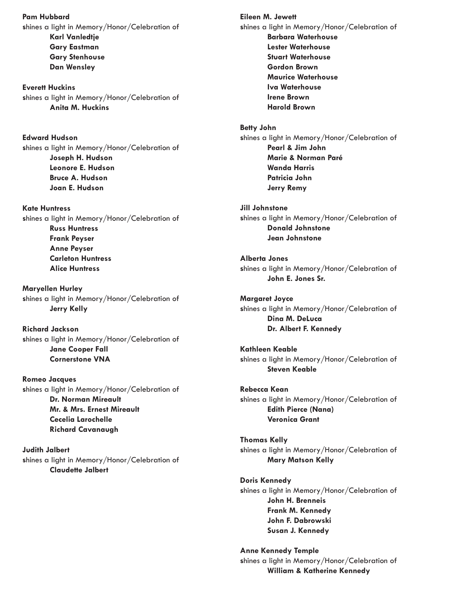**Pam Hubbard s**hines a light in Memory/Honor/Celebration of **Karl Vanledtje Gary Eastman Gary Stenhouse Dan Wensley**

**Everett Huckins s**hines a light in Memory/Honor/Celebration of **Anita M. Huckins** 

**Edward Hudson s**hines a light in Memory/Honor/Celebration of **Joseph H. Hudson Leonore E. Hudson Bruce A. Hudson Joan E. Hudson**

**Kate Huntress s**hines a light in Memory/Honor/Celebration of **Russ Huntress Frank Peyser Anne Peyser Carleton Huntress Alice Huntress**

**Maryellen Hurley s**hines a light in Memory/Honor/Celebration of **Jerry Kelly**

**Richard Jackson s**hines a light in Memory/Honor/Celebration of **Jane Cooper Fall Cornerstone VNA**

**Romeo Jacques s**hines a light in Memory/Honor/Celebration of **Dr. Norman Mireault Mr. & Mrs. Ernest Mireault Cecelia Larochelle Richard Cavanaugh**

**Judith Jalbert s**hines a light in Memory/Honor/Celebration of **Claudette Jalbert**

**Eileen M. Jewett s**hines a light in Memory/Honor/Celebration of **Barbara Waterhouse Lester Waterhouse Stuart Waterhouse Gordon Brown Maurice Waterhouse Iva Waterhouse Irene Brown Harold Brown**

**Betty John s**hines a light in Memory/Honor/Celebration of **Pearl & Jim John Marie & Norman Paré Wanda Harris Patricia John Jerry Remy**

**Jill Johnstone s**hines a light in Memory/Honor/Celebration of **Donald Johnstone Jean Johnstone**

**Alberta Jones s**hines a light in Memory/Honor/Celebration of **John E. Jones Sr.**

**Margaret Joyce s**hines a light in Memory/Honor/Celebration of **Dina M. DeLuca Dr. Albert F. Kennedy**

**Kathleen Keable s**hines a light in Memory/Honor/Celebration of **Steven Keable**

**Rebecca Kean s**hines a light in Memory/Honor/Celebration of **Edith Pierce (Nana) Veronica Grant**

**Thomas Kelly s**hines a light in Memory/Honor/Celebration of **Mary Matson Kelly**

**Doris Kennedy s**hines a light in Memory/Honor/Celebration of **John H. Brenneis Frank M. Kennedy John F. Dabrowski Susan J. Kennedy**

**Anne Kennedy Temple s**hines a light in Memory/Honor/Celebration of **William & Katherine Kennedy**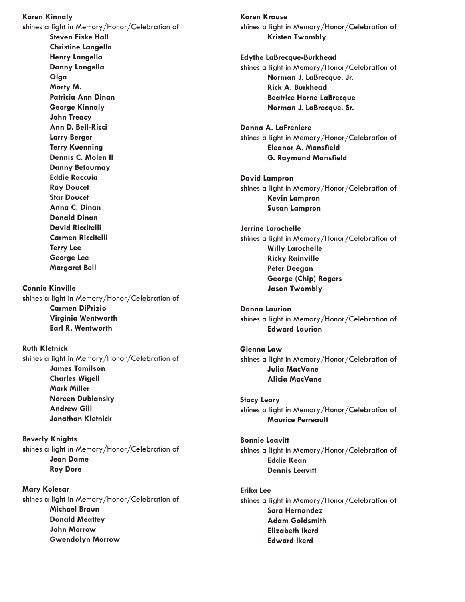**Karen Kinnaly s**hines a light in Memory/Honor/Celebration of **Steven Fiske Hall Christine Langella Henry Langella Danny Langella Olga Morty M. Patricia Ann Dinan George Kinnaly John Treacy Ann D. Bell-Ricci Larry Berger Terry Kuenning Dennis C. Molen II Danny Betournay Eddie Raccuia Ray Doucet Star Doucet Anna C. Dinan Donald Dinan David Riccitelli Carmen Riccitelli Terry Lee George Lee Margaret Bell Connie Kinville s**hines a light in Memory/Honor/Celebration of **Carmen DiPrizio Virginia Wentworth Earl R. Wentworth Ruth Kletnick s**hines a light in Memory/Honor/Celebration of **James Tomilson Charles Wigell Mark Miller Noreen Dubiansky Andrew Gill Jonathan Kletnick Beverly Knights s**hines a light in Memory/Honor/Celebration of **Jean Dame Roy Dore**

**Mary Kolesar s**hines a light in Memory/Honor/Celebration of **Michael Braun Donald Meattey John Morrow Gwendolyn Morrow**

**Karen Krause s**hines a light in Memory/Honor/Celebration of **Kristen Twombly**

**Edythe LaBrecque-Burkhead s**hines a light in Memory/Honor/Celebration of **Norman J. LaBrecque, Jr. Rick A. Burkhead Beatrice Horne LaBrecque Norman J. LaBrecque, Sr.**

**Donna A. LaFreniere s**hines a light in Memory/Honor/Celebration of **Eleanor A. Mansfield G. Raymond Mansfield**

**David Lampron s**hines a light in Memory/Honor/Celebration of **Kevin Lampron Susan Lampron**

**Jerrine Larochelle s**hines a light in Memory/Honor/Celebration of **Willy Larochelle Ricky Rainville Peter Deegan George (Chip) Rogers Jason Twombly**

**Donna Laurion s**hines a light in Memory/Honor/Celebration of **Edward Laurion**

**Glenna Law s**hines a light in Memory/Honor/Celebration of **Julia MacVane Alicia MacVane**

**Stacy Leary s**hines a light in Memory/Honor/Celebration of **Maurice Perreault**

**Bonnie Leavitt s**hines a light in Memory/Honor/Celebration of **Eddie Kean Dennis Leavitt**

## **Erika Lee**

**s**hines a light in Memory/Honor/Celebration of **Sara Hernandez Adam Goldsmith Elizabeth Ikerd Edward Ikerd**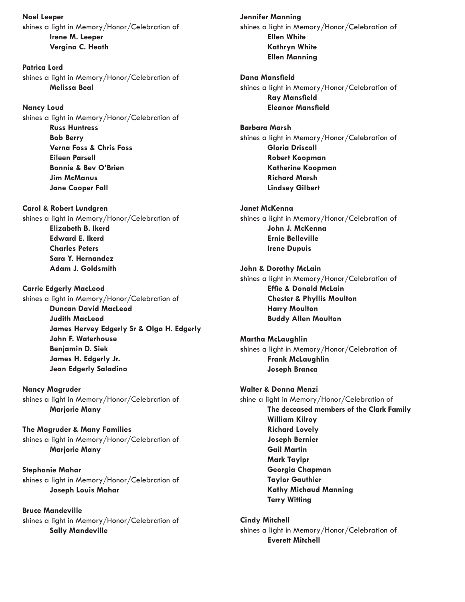**Noel Leeper s**hines a light in Memory/Honor/Celebration of **Irene M. Leeper Vergina C. Heath**

**Patrica Lord s**hines a light in Memory/Honor/Celebration of **Melissa Beal**

## **Nancy Loud**

**s**hines a light in Memory/Honor/Celebration of **Russ Huntress Bob Berry Verna Foss & Chris Foss Eileen Parsell Bonnie & Bev O'Brien Jim McManus Jane Cooper Fall**

**Carol & Robert Lundgren** 

**s**hines a light in Memory/Honor/Celebration of **Elizabeth B. Ikerd Edward E. Ikerd Charles Peters Sara Y. Hernandez Adam J. Goldsmith**

**Carrie Edgerly MacLeod** 

**s**hines a light in Memory/Honor/Celebration of **Duncan David MacLeod Judith MacLeod James Hervey Edgerly Sr & Olga H. Edgerly John F. Waterhouse Benjamin D. Siek James H. Edgerly Jr. Jean Edgerly Saladino**

**Nancy Magruder s**hines a light in Memory/Honor/Celebration of **Marjorie Many**

**The Magruder & Many Families s**hines a light in Memory/Honor/Celebration of **Marjorie Many**

**Stephanie Mahar s**hines a light in Memory/Honor/Celebration of **Joseph Louis Mahar**

**Bruce Mandeville s**hines a light in Memory/Honor/Celebration of **Sally Mandeville**

**Jennifer Manning s**hines a light in Memory/Honor/Celebration of **Ellen White Kathryn White Ellen Manning**

**Dana Mansfield s**hines a light in Memory/Honor/Celebration of **Ray Mansfield Eleanor Mansfield**

**Barbara Marsh s**hines a light in Memory/Honor/Celebration of **Gloria Driscoll Robert Koopman Katherine Koopman Richard Marsh Lindsey Gilbert**

**Janet McKenna s**hines a light in Memory/Honor/Celebration of **John J. McKenna Ernie Belleville Irene Dupuis**

**John & Dorothy McLain s**hines a light in Memory/Honor/Celebration of **Effie & Donald McLain Chester & Phyllis Moulton Harry Moulton Buddy Allen Moulton**

**Martha McLaughlin s**hines a light in Memory/Honor/Celebration of **Frank McLaughlin Joseph Branca**

**Walter & Donna Menzi**  shine a light in Memory/Honor/Celebration of **The deceased members of the Clark Family William Kilroy Richard Lovely Joseph Bernier Gail Martin Mark Taylpr Georgia Chapman Taylor Gauthier Kathy Michaud Manning Terry Witting**

**Cindy Mitchell s**hines a light in Memory/Honor/Celebration of **Everett Mitchell**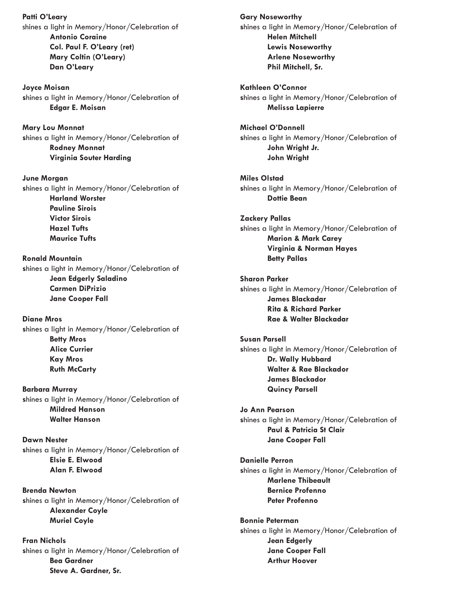**Patti O'Leary**  shines a light in Memory/Honor/Celebration of **Antonio Coraine Col. Paul F. O'Leary (ret) Mary Coltin (O'Leary) Dan O'Leary**

**Joyce Moisan s**hines a light in Memory/Honor/Celebration of **Edgar E. Moisan**

**Mary Lou Monnat s**hines a light in Memory/Honor/Celebration of **Rodney Monnat Virginia Souter Harding**

**June Morgan s**hines a light in Memory/Honor/Celebration of **Harland Worster Pauline Sirois Victor Sirois Hazel Tufts Maurice Tufts**

**Ronald Mountain s**hines a light in Memory/Honor/Celebration of **Jean Edgerly Saladino Carmen DiPrizio Jane Cooper Fall**

**Diane Mros s**hines a light in Memory/Honor/Celebration of **Betty Mros Alice Currier Kay Mros Ruth McCarty**

**Barbara Murray s**hines a light in Memory/Honor/Celebration of **Mildred Hanson Walter Hanson**

**Dawn Nester s**hines a light in Memory/Honor/Celebration of **Elsie E. Elwood Alan F. Elwood**

**Brenda Newton s**hines a light in Memory/Honor/Celebration of **Alexander Coyle Muriel Coyle**

**Fran Nichols s**hines a light in Memory/Honor/Celebration of **Bea Gardner Steve A. Gardner, Sr.**

**Gary Noseworthy s**hines a light in Memory/Honor/Celebration of **Helen Mitchell Lewis Noseworthy Arlene Noseworthy Phil Mitchell, Sr.**

**Kathleen O'Connor s**hines a light in Memory/Honor/Celebration of **Melissa Lapierre**

**Michael O'Donnell s**hines a light in Memory/Honor/Celebration of **John Wright Jr. John Wright**

**Miles Olstad s**hines a light in Memory/Honor/Celebration of **Dottie Bean**

**Zackery Pallas s**hines a light in Memory/Honor/Celebration of **Marion & Mark Carey Virginia & Norman Hayes Betty Pallas**

**Sharon Parker s**hines a light in Memory/Honor/Celebration of **James Blackadar Rita & Richard Parker Rae & Walter Blackadar**

**Susan Parsell s**hines a light in Memory/Honor/Celebration of **Dr. Wally Hubbard Walter & Rae Blackador James Blackador Quincy Parsell**

**Jo Ann Pearson s**hines a light in Memory/Honor/Celebration of **Paul & Patricia St Clair Jane Cooper Fall**

**Danielle Perron s**hines a light in Memory/Honor/Celebration of **Marlene Thibeault Bernice Profenno Peter Profenno**

**Bonnie Peterman s**hines a light in Memory/Honor/Celebration of **Jean Edgerly Jane Cooper Fall Arthur Hoover**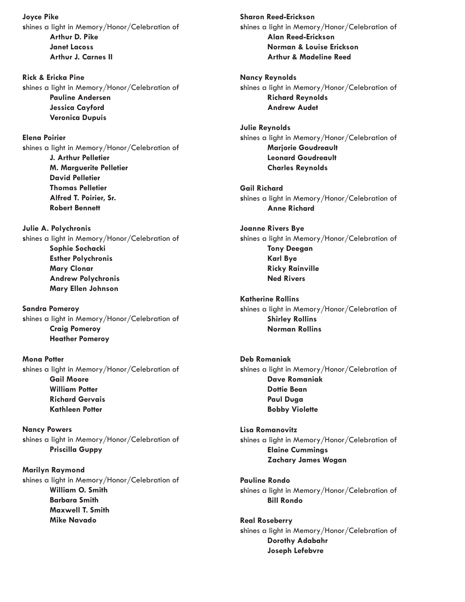**Joyce Pike s**hines a light in Memory/Honor/Celebration of **Arthur D. Pike Janet Lacoss Arthur J. Carnes II**

**Rick & Ericka Pine s**hines a light in Memory/Honor/Celebration of **Pauline Andersen Jessica Cayford Veronica Dupuis**

**Elena Poirier s**hines a light in Memory/Honor/Celebration of **J. Arthur Pelletier M. Marguerite Pelletier David Pelletier Thomas Pelletier Alfred T. Poirier, Sr. Robert Bennett**

**Julie A. Polychronis s**hines a light in Memory/Honor/Celebration of **Sophie Sochacki Esther Polychronis Mary Clonar Andrew Polychronis Mary Ellen Johnson**

**Sandra Pomeroy s**hines a light in Memory/Honor/Celebration of **Craig Pomeroy Heather Pomeroy**

**Mona Potter s**hines a light in Memory/Honor/Celebration of **Gail Moore William Potter Richard Gervais Kathleen Potter**

**Nancy Powers s**hines a light in Memory/Honor/Celebration of **Priscilla Guppy**

**Marilyn Raymond s**hines a light in Memory/Honor/Celebration of **William O. Smith Barbara Smith Maxwell T. Smith Mike Navado**

**Sharon Reed-Erickson s**hines a light in Memory/Honor/Celebration of **Alan Reed-Erickson Norman & Louise Erickson Arthur & Madeline Reed**

**Nancy Reynolds s**hines a light in Memory/Honor/Celebration of **Richard Reynolds Andrew Audet**

**Julie Reynolds s**hines a light in Memory/Honor/Celebration of **Marjorie Goudreault Leonard Goudreault Charles Reynolds**

**Gail Richard s**hines a light in Memory/Honor/Celebration of **Anne Richard**

**Joanne Rivers Bye s**hines a light in Memory/Honor/Celebration of **Tony Deegan Karl Bye Ricky Rainville Ned Rivers**

**Katherine Rollins s**hines a light in Memory/Honor/Celebration of **Shirley Rollins Norman Rollins**

**Deb Romaniak s**hines a light in Memory/Honor/Celebration of **Dave Romaniak Dottie Bean Paul Duga Bobby Violette**

**Lisa Romanovitz s**hines a light in Memory/Honor/Celebration of **Elaine Cummings Zachary James Wogan**

**Pauline Rondo s**hines a light in Memory/Honor/Celebration of **Bill Rondo**

**Real Roseberry s**hines a light in Memory/Honor/Celebration of **Dorothy Adabahr Joseph Lefebvre**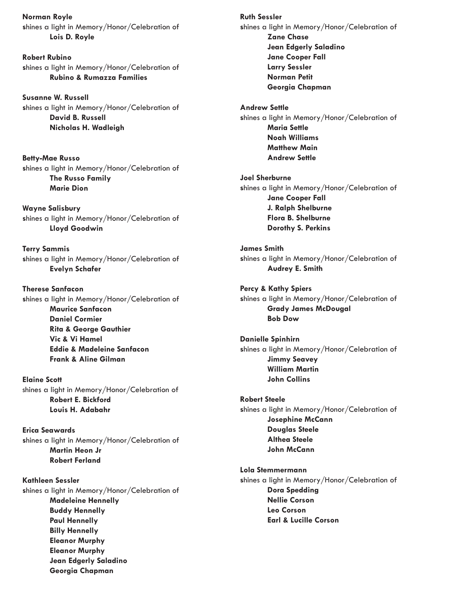**Norman Royle s**hines a light in Memory/Honor/Celebration of **Lois D. Royle**

**Robert Rubino s**hines a light in Memory/Honor/Celebration of **Rubino & Rumazza Families**

**Susanne W. Russell s**hines a light in Memory/Honor/Celebration of **David B. Russell Nicholas H. Wadleigh**

**Betty-Mae Russo s**hines a light in Memory/Honor/Celebration of **The Russo Family Marie Dion**

**Wayne Salisbury s**hines a light in Memory/Honor/Celebration of **Lloyd Goodwin**

**Terry Sammis s**hines a light in Memory/Honor/Celebration of **Evelyn Schafer**

**Therese Sanfacon s**hines a light in Memory/Honor/Celebration of **Maurice Sanfacon Daniel Cormier Rita & George Gauthier Vic & Vi Hamel Eddie & Madeleine Sanfacon Frank & Aline Gilman**

**Elaine Scott** shines a light in Memory/Honor/Celebration of **Robert E. Bickford Louis H. Adabahr**

**Erica Seawards s**hines a light in Memory/Honor/Celebration of **Martin Heon Jr Robert Ferland**

**Kathleen Sessler s**hines a light in Memory/Honor/Celebration of **Madeleine Hennelly Buddy Hennelly Paul Hennelly Billy Hennelly Eleanor Murphy Eleanor Murphy Jean Edgerly Saladino Georgia Chapman**

**Ruth Sessler s**hines a light in Memory/Honor/Celebration of **Zane Chase Jean Edgerly Saladino Jane Cooper Fall Larry Sessler Norman Petit Georgia Chapman**

**Andrew Settle s**hines a light in Memory/Honor/Celebration of **Maria Settle Noah Williams Matthew Main Andrew Settle**

**Joel Sherburne s**hines a light in Memory/Honor/Celebration of **Jane Cooper Fall J. Ralph Shelburne Flora B. Shelburne Dorothy S. Perkins**

**James Smith s**hines a light in Memory/Honor/Celebration of **Audrey E. Smith**

**Percy & Kathy Spiers s**hines a light in Memory/Honor/Celebration of **Grady James McDougal Bob Dow**

**Danielle Spinhirn s**hines a light in Memory/Honor/Celebration of **Jimmy Seavey William Martin John Collins**

**Robert Steele s**hines a light in Memory/Honor/Celebration of **Josephine McCann Douglas Steele Althea Steele John McCann**

**Lola Stemmermann s**hines a light in Memory/Honor/Celebration of **Dora Spedding Nellie Corson Leo Corson Earl & Lucille Corson**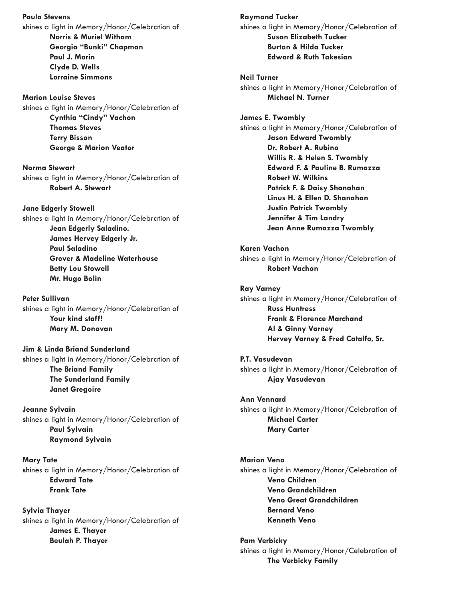**Paula Stevens s**hines a light in Memory/Honor/Celebration of **Norris & Muriel Witham Georgia "Bunki" Chapman Paul J. Morin Clyde D. Wells Lorraine Simmons**

**Marion Louise Steves s**hines a light in Memory/Honor/Celebration of **Cynthia "Cindy" Vachon Thomas Steves Terry Bisson George & Marion Veator**

**Norma Stewart s**hines a light in Memory/Honor/Celebration of **Robert A. Stewart**

**Jane Edgerly Stowell s**hines a light in Memory/Honor/Celebration of **Jean Edgerly Saladino. James Hervey Edgerly Jr. Paul Saladino Grover & Madeline Waterhouse Betty Lou Stowell Mr. Hugo Bolin**

**Peter Sullivan s**hines a light in Memory/Honor/Celebration of **Your kind staff! Mary M. Donovan**

**Jim & Linda Briand Sunderland s**hines a light in Memory/Honor/Celebration of **The Briand Family The Sunderland Family Janet Gregoire**

**Jeanne Sylvain s**hines a light in Memory/Honor/Celebration of **Paul Sylvain Raymond Sylvain**

**Mary Tate s**hines a light in Memory/Honor/Celebration of **Edward Tate Frank Tate**

**Sylvia Thayer s**hines a light in Memory/Honor/Celebration of **James E. Thayer Beulah P. Thayer**

**Raymond Tucker s**hines a light in Memory/Honor/Celebration of **Susan Elizabeth Tucker Burton & Hilda Tucker Edward & Ruth Takesian**

**Neil Turner s**hines a light in Memory/Honor/Celebration of **Michael N. Turner**

**James E. Twombly s**hines a light in Memory/Honor/Celebration of **Jason Edward Twombly Dr. Robert A. Rubino Willis R. & Helen S. Twombly Edward F. & Pauline B. Rumazza Robert W. Wilkins Patrick F. & Daisy Shanahan Linus H. & Ellen D. Shanahan Justin Patrick Twombly Jennifer & Tim Landry Jean Anne Rumazza Twombly**

**Karen Vachon** shines a light in Memory/Honor/Celebration of **Robert Vachon** 

**Ray Varney s**hines a light in Memory/Honor/Celebration of **Russ Huntress Frank & Florence Marchand Al & Ginny Varney Hervey Varney & Fred Catalfo, Sr.**

**P.T. Vasudevan s**hines a light in Memory/Honor/Celebration of **Ajay Vasudevan**

**Ann Vennard s**hines a light in Memory/Honor/Celebration of **Michael Carter Mary Carter**

**Marion Veno s**hines a light in Memory/Honor/Celebration of **Veno Children Veno Grandchildren Veno Great Grandchildren Bernard Veno Kenneth Veno**

**Pam Verbicky s**hines a light in Memory/Honor/Celebration of **The Verbicky Family**